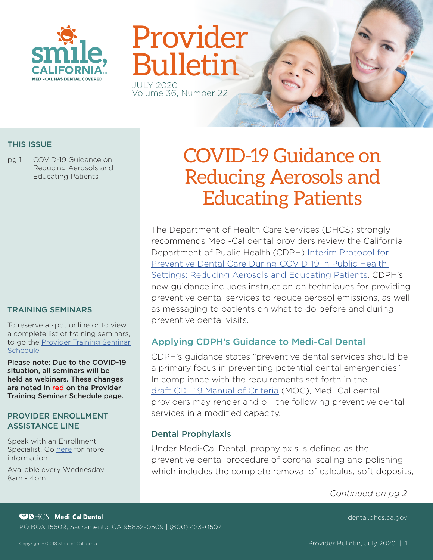

# Provider Bulletin JULY 2020

Volume 36, Number 22

### THIS ISSUE

pg 1 COVID-19 Guidance on Reducing Aerosols and Educating Patients

#### TRAINING SEMINARS

To reserve a spot online or to view a complete list of training seminars, to go the [Provider Training Seminar](https://dental.dhcs.ca.gov/Dental_Providers/Denti-Cal/Provider_Training/Provider_Training_Seminar_Schedule/)  [Schedule.](https://dental.dhcs.ca.gov/Dental_Providers/Denti-Cal/Provider_Training/Provider_Training_Seminar_Schedule/)

Please note: Due to the COVID-19 situation, all seminars will be held as webinars. These changes are noted in red on the Provider Training Seminar Schedule page.

#### PROVIDER ENROLLMENT ASSISTANCE LINE

Speak with an Enrollment Specialist. Go [here](https://dental.dhcs.ca.gov/Dental_Providers/Denti-Cal/Provider_Enrollment_Outreach/) for more information.

Available every Wednesday 8am - 4pm

# COVID-19 Guidance on Reducing Aerosols and Educating Patients

The Department of Health Care Services (DHCS) strongly recommends Medi-Cal dental providers review the California Department of Public Health (CDPH) [Interim Protocol for](https://www.rivcoph.org/Portals/0/Documents/CoronaVirus/Toolkits/Dental/PL%2020-03%20-%20Interim%20Protocol%20for%20Preventive%20Dental%20Care%20During%20COVID-19%20in%20Public%20Health%20Settings%20-Reducing%20Aerosols%20and%20Educating%20Patients.pdf?ver=2020-07-09-113641-380×tamp=1594319816965)  [Preventive Dental Care During COVID-19 in Public Health](https://www.rivcoph.org/Portals/0/Documents/CoronaVirus/Toolkits/Dental/PL%2020-03%20-%20Interim%20Protocol%20for%20Preventive%20Dental%20Care%20During%20COVID-19%20in%20Public%20Health%20Settings%20-Reducing%20Aerosols%20and%20Educating%20Patients.pdf?ver=2020-07-09-113641-380×tamp=1594319816965)  [Settings: Reducing Aerosols and Educating Patients.](https://www.rivcoph.org/Portals/0/Documents/CoronaVirus/Toolkits/Dental/PL%2020-03%20-%20Interim%20Protocol%20for%20Preventive%20Dental%20Care%20During%20COVID-19%20in%20Public%20Health%20Settings%20-Reducing%20Aerosols%20and%20Educating%20Patients.pdf?ver=2020-07-09-113641-380×tamp=1594319816965) CDPH's new guidance includes instruction on techniques for providing preventive dental services to reduce aerosol emissions, as well as messaging to patients on what to do before and during preventive dental visits.

# Applying CDPH's Guidance to Medi-Cal Dental

CDPH's guidance states "preventive dental services should be a primary focus in preventing potential dental emergencies." In compliance with the requirements set forth in the [draft CDT-19 Manual of Criteria](https://dental.dhcs.ca.gov/DC_documents/providers/MOC_CDT19_draft.pdf) (MOC), Medi-Cal dental providers may render and bill the following preventive dental services in a modified capacity.

## Dental Prophylaxis

Under Medi-Cal Dental, prophylaxis is defned as the preventive dental procedure of coronal scaling and polishing which includes the complete removal of calculus, soft deposits,

*Continued on pg 2* 

**SPICS** Medi-Cal Dental PO BOX 15609, Sacramento, CA 95852-0509 | (800) 423-0507

[dental.dhcs.ca.gov](https://dental.dhcs.ca.gov/)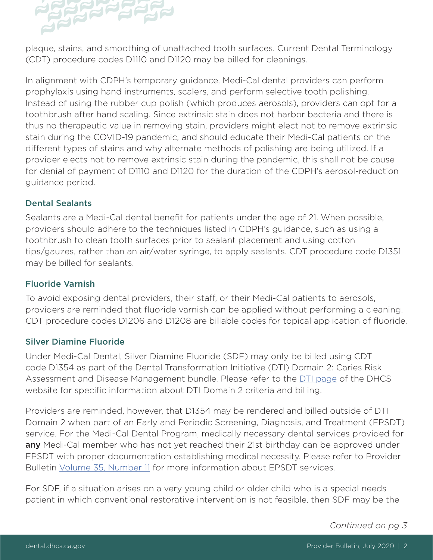

plaque, stains, and smoothing of unattached tooth surfaces. Current Dental Terminology (CDT) procedure codes D1110 and D1120 may be billed for cleanings.

In alignment with CDPH's temporary guidance, Medi-Cal dental providers can perform prophylaxis using hand instruments, scalers, and perform selective tooth polishing. Instead of using the rubber cup polish (which produces aerosols), providers can opt for a toothbrush after hand scaling. Since extrinsic stain does not harbor bacteria and there is thus no therapeutic value in removing stain, providers might elect not to remove extrinsic stain during the COVID-19 pandemic, and should educate their Medi-Cal patients on the diferent types of stains and why alternate methods of polishing are being utilized. If a provider elects not to remove extrinsic stain during the pandemic, this shall not be cause for denial of payment of D1110 and D1120 for the duration of the CDPH's aerosol-reduction guidance period.

## Dental Sealants

Sealants are a Medi-Cal dental benefit for patients under the age of 21. When possible, providers should adhere to the techniques listed in CDPH's guidance, such as using a toothbrush to clean tooth surfaces prior to sealant placement and using cotton tips/gauzes, rather than an air/water syringe, to apply sealants. CDT procedure code D1351 may be billed for sealants.

### Fluoride Varnish

To avoid exposing dental providers, their staff, or their Medi-Cal patients to aerosols, providers are reminded that fuoride varnish can be applied without performing a cleaning. CDT procedure codes D1206 and D1208 are billable codes for topical application of fuoride.

#### Silver Diamine Fluoride

Under Medi-Cal Dental, Silver Diamine Fluoride (SDF) may only be billed using CDT code D1354 as part of the Dental Transformation Initiative (DTI) Domain 2: Caries Risk Assessment and Disease Management bundle. Please refer to the [DTI page](https://www.dhcs.ca.gov/provgovpart/Pages/DTI.aspx) of the DHCS website for specific information about DTI Domain 2 criteria and billing.

Providers are reminded, however, that D1354 may be rendered and billed outside of DTI Domain 2 when part of an Early and Periodic Screening, Diagnosis, and Treatment (EPSDT) service. For the Medi-Cal Dental Program, medically necessary dental services provided for any Medi-Cal member who has not yet reached their 21st birthday can be approved under EPSDT with proper documentation establishing medical necessity. Please refer to Provider Bulletin [Volume 35, Number 11](https://dental.dhcs.ca.gov/DC_documents/providers/provider_bulletins/Volume_35_Number_11.pdf) for more information about EPSDT services.

For SDF, if a situation arises on a very young child or older child who is a special needs patient in which conventional restorative intervention is not feasible, then SDF may be the

*Continued on pg 3*